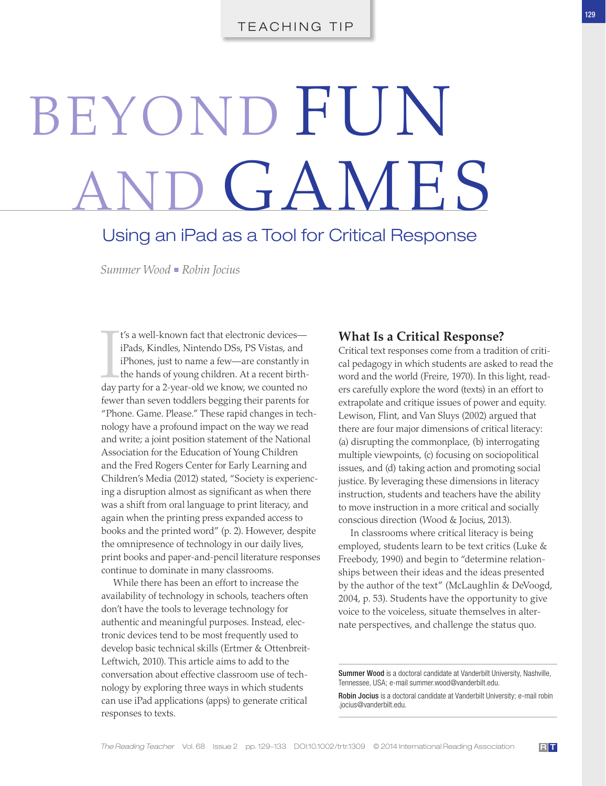# BEYOND FUN GAMES

# Using an iPad as a Tool for Critical Response

 *Summer Wood* ■ *Robin Jocius* 

I's a well-known fact that electronic devices—<br>iPads, Kindles, Nintendo DSs, PS Vistas, and<br>iPhones, just to name a few—are constantly in<br>the hands of young children. At a recent birth-<br>day party for a 2-year-old we know, t's a well-known fact that electronic devicesiPads, Kindles, Nintendo DSs, PS Vistas, and iPhones, just to name a few—are constantly in the hands of young children. At a recent birthfewer than seven toddlers begging their parents for "Phone. Game. Please." These rapid changes in technology have a profound impact on the way we read and write; a joint position statement of the National Association for the Education of Young Children and the Fred Rogers Center for Early Learning and Children's Media (2012) stated, "Society is experiencing a disruption almost as significant as when there was a shift from oral language to print literacy, and again when the printing press expanded access to books and the printed word" (p. 2). However, despite the omnipresence of technology in our daily lives, print books and paper-and-pencil literature responses continue to dominate in many classrooms.

 While there has been an effort to increase the availability of technology in schools, teachers often don't have the tools to leverage technology for authentic and meaningful purposes. Instead, electronic devices tend to be most frequently used to develop basic technical skills (Ertmer & Ottenbreit-Leftwich, 2010). This article aims to add to the conversation about effective classroom use of technology by exploring three ways in which students can use iPad applications (apps) to generate critical responses to texts.

#### **What Is a Critical Response?**

 Critical text responses come from a tradition of critical pedagogy in which students are asked to read the word and the world (Freire, 1970). In this light, readers carefully explore the word (texts) in an effort to extrapolate and critique issues of power and equity. Lewison, Flint, and Van Sluys (2002) argued that there are four major dimensions of critical literacy: (a) disrupting the commonplace, (b) interrogating multiple viewpoints, (c) focusing on sociopolitical issues, and (d) taking action and promoting social justice. By leveraging these dimensions in literacy instruction, students and teachers have the ability to move instruction in a more critical and socially conscious direction (Wood & Jocius, 2013).

 In classrooms where critical literacy is being employed, students learn to be text critics (Luke & Freebody, 1990) and begin to "determine relationships between their ideas and the ideas presented by the author of the text" (McLaughlin & DeVoogd, 2004, p. 53). Students have the opportunity to give voice to the voiceless, situate themselves in alternate perspectives, and challenge the status quo.

Summer Wood is a doctoral candidate at Vanderbilt University, Nashville, Tennessee, USA; e-mail summer.wood@vanderbilt.edu .

Robin Jocius is a doctoral candidate at Vanderbilt University; e-mail robin .jocius@vanderbilt.edu .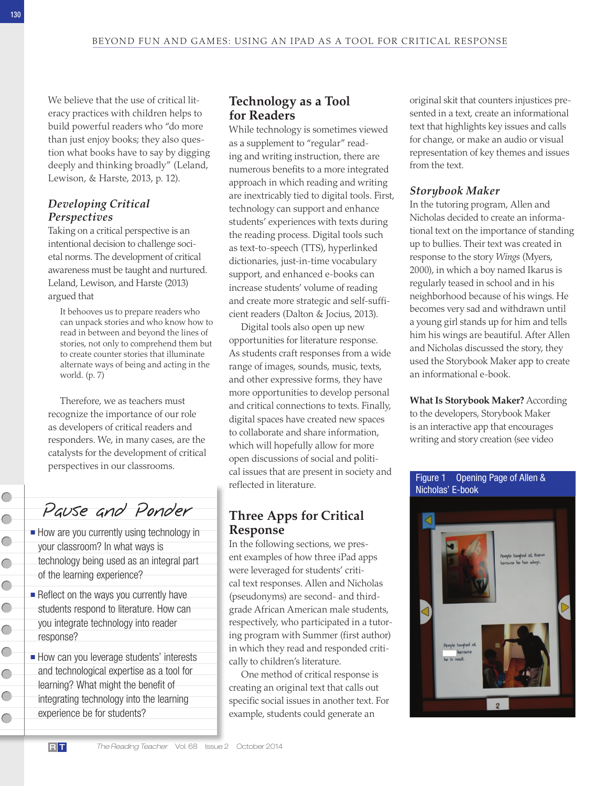We believe that the use of critical literacy practices with children helps to build powerful readers who "do more than just enjoy books; they also question what books have to say by digging deeply and thinking broadly" (Leland, Lewison, & Harste, 2013, p. 12).

#### *Developing Critical Perspectives*

 Taking on a critical perspective is an intentional decision to challenge societal norms. The development of critical awareness must be taught and nurtured. Leland, Lewison, and Harste (2013) argued that

 It behooves us to prepare readers who can unpack stories and who know how to read in between and beyond the lines of stories, not only to comprehend them but to create counter stories that illuminate alternate ways of being and acting in the world. (p. 7)

 Therefore, we as teachers must recognize the importance of our role as developers of critical readers and responders. We, in many cases, are the catalysts for the development of critical perspectives in our classrooms.

Pause and Ponder

- How are you currently using technology in your classroom? In what ways is technology being used as an integral part of the learning experience?
- Reflect on the ways you currently have students respond to literature. How can you integrate technology into reader response?
- How can you leverage students' interests and technological expertise as a tool for learning? What might the benefit of integrating technology into the learning experience be for students?

## **Technology as a Tool for Readers**

 While technology is sometimes viewed as a supplement to "regular" reading and writing instruction, there are numerous benefits to a more integrated approach in which reading and writing are inextricably tied to digital tools. First, technology can support and enhance students' experiences with texts during the reading process. Digital tools such as text-to-speech (TTS), hyperlinked dictionaries, just-in-time vocabulary support, and enhanced e-books can increase students' volume of reading and create more strategic and self-sufficient readers (Dalton & Jocius, 2013).

 Digital tools also open up new opportunities for literature response. As students craft responses from a wide range of images, sounds, music, texts, and other expressive forms, they have more opportunities to develop personal and critical connections to texts. Finally, digital spaces have created new spaces to collaborate and share information, which will hopefully allow for more open discussions of social and political issues that are present in society and reflected in literature.

## **Three Apps for Critical Response**

 In the following sections, we present examples of how three iPad apps were leveraged for students' critical text responses. Allen and Nicholas (pseudonyms) are second- and thirdgrade African American male students, respectively, who participated in a tutoring program with Summer (first author) in which they read and responded critically to children's literature.

 One method of critical response is creating an original text that calls out specific social issues in another text. For example, students could generate an

original skit that counters injustices presented in a text, create an informational text that highlights key issues and calls for change, or make an audio or visual representation of key themes and issues from the text.

#### *Storybook Maker*

 In the tutoring program, Allen and Nicholas decided to create an informational text on the importance of standing up to bullies. Their text was created in response to the story *Wings* (Myers, 2000), in which a boy named Ikarus is regularly teased in school and in his neighborhood because of his wings. He becomes very sad and withdrawn until a young girl stands up for him and tells him his wings are beautiful. After Allen and Nicholas discussed the story, they used the Storybook Maker app to create an informational e-book.

 **What Is Storybook Maker?** According to the developers, Storybook Maker is an interactive app that encourages writing and story creation (see video

#### Figure 1 Opening Page of Allen & Nicholas' E-book



 $\subset$ 

 $\subset$ 

 $\subset$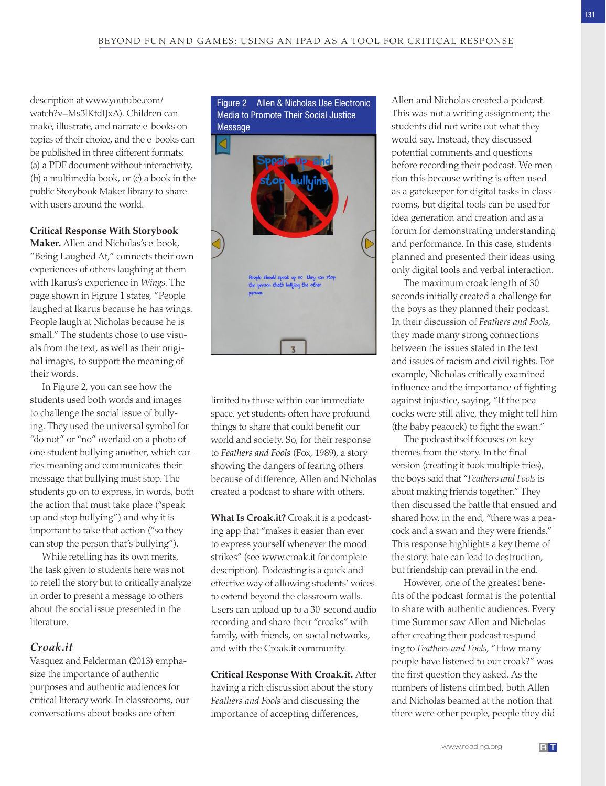description at www.youtube.com/ watch?v=Ms3lKtdIJxA). Children can make, illustrate, and narrate e-books on topics of their choice, and the e-books can be published in three different formats: (a) a PDF document without interactivity, (b) a multimedia book, or (c) a book in the public Storybook Maker library to share with users around the world.

#### **Critical Response With Storybook**

Maker. Allen and Nicholas's e-book, "Being Laughed At," connects their own experiences of others laughing at them with Ikarus's experience in *Wings*. The page shown in Figure 1 states, "People laughed at Ikarus because he has wings. People laugh at Nicholas because he is small." The students chose to use visuals from the text, as well as their original images, to support the meaning of their words.

 In Figure 2, you can see how the students used both words and images to challenge the social issue of bullying. They used the universal symbol for "do not" or "no" overlaid on a photo of one student bullying another, which carries meaning and communicates their message that bullying must stop. The students go on to express, in words, both the action that must take place ("speak up and stop bullying") and why it is important to take that action ("so they can stop the person that's bullying").

 While retelling has its own merits, the task given to students here was not to retell the story but to critically analyze in order to present a message to others about the social issue presented in the literature.

#### *Croak.it*

Vasquez and Felderman (2013) emphasize the importance of authentic purposes and authentic audiences for critical literacy work. In classrooms, our conversations about books are often

 Figure 2 Allen & Nicholas Use Electronic Media to Promote Their Social Justice Message



limited to those within our immediate space, yet students often have profound things to share that could benefit our world and society. So, for their response to Feathers and Fools (Fox, 1989), a story showing the dangers of fearing others because of difference, Allen and Nicholas created a podcast to share with others.

 **What Is Croak.it?** Croak.it is a podcasting app that "makes it easier than ever to express yourself whenever the mood strikes" (see www.croak.it for complete description). Podcasting is a quick and effective way of allowing students' voices to extend beyond the classroom walls. Users can upload up to a 30-second audio recording and share their "croaks" with family, with friends, on social networks, and with the Croak.it community.

 **Critical Response With Croak.it .** After having a rich discussion about the story *Feathers and Fools* and discussing the importance of accepting differences,

Allen and Nicholas created a podcast. This was not a writing assignment; the students did not write out what they would say. Instead, they discussed potential comments and questions before recording their podcast. We mention this because writing is often used as a gatekeeper for digital tasks in classrooms, but digital tools can be used for idea generation and creation and as a forum for demonstrating understanding and performance. In this case, students planned and presented their ideas using only digital tools and verbal interaction.

 The maximum croak length of 30 seconds initially created a challenge for the boys as they planned their podcast. In their discussion of *Feathers and Fools*, they made many strong connections between the issues stated in the text and issues of racism and civil rights. For example, Nicholas critically examined influence and the importance of fighting against injustice, saying, "If the peacocks were still alive, they might tell him (the baby peacock) to fight the swan."

 The podcast itself focuses on key themes from the story. In the final version (creating it took multiple tries), the boys said that " *Feathers and Fools* is about making friends together." They then discussed the battle that ensued and shared how, in the end, "there was a peacock and a swan and they were friends." This response highlights a key theme of the story: hate can lead to destruction, but friendship can prevail in the end.

 However, one of the greatest benefits of the podcast format is the potential to share with authentic audiences. Every time Summer saw Allen and Nicholas after creating their podcast responding to *Feathers and Fools*, "How many people have listened to our croak?" was the first question they asked. As the numbers of listens climbed, both Allen and Nicholas beamed at the notion that there were other people, people they did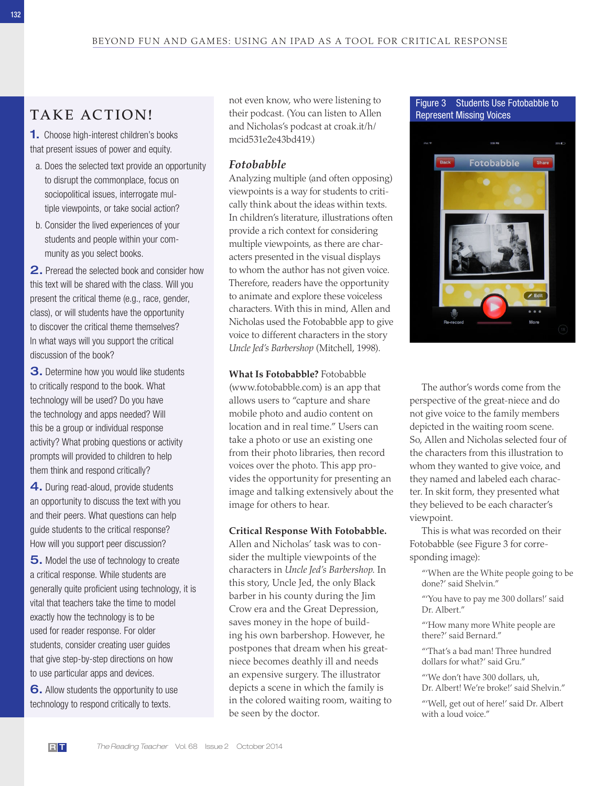# **TAKE ACTION!**

**1.** Choose high-interest children's books that present issues of power and equity.

- a. Does the selected text provide an opportunity to disrupt the commonplace, focus on sociopolitical issues, interrogate multiple viewpoints, or take social action?
- b. Consider the lived experiences of your students and people within your community as you select books.

2. Preread the selected book and consider how this text will be shared with the class. Will you present the critical theme (e.g., race, gender, class), or will students have the opportunity to discover the critical theme themselves? In what ways will you support the critical discussion of the book?

**3.** Determine how you would like students to critically respond to the book. What technology will be used? Do you have the technology and apps needed? Will this be a group or individual response activity? What probing questions or activity prompts will provided to children to help them think and respond critically?

4. During read-aloud, provide students an opportunity to discuss the text with you and their peers. What questions can help guide students to the critical response? How will you support peer discussion?

5 . Model the use of technology to create a critical response. While students are generally quite proficient using technology, it is vital that teachers take the time to model exactly how the technology is to be used for reader response. For older students, consider creating user guides that give step-by-step directions on how to use particular apps and devices.

6. Allow students the opportunity to use technology to respond critically to texts.

not even know, who were listening to their podcast. (You can listen to Allen and Nicholas's podcast at croak.it/h/ mcid531e2e43bd419.)

#### *Fotobabble*

 Analyzing multiple (and often opposing) viewpoints is a way for students to critically think about the ideas within texts. In children's literature, illustrations often provide a rich context for considering multiple viewpoints, as there are characters presented in the visual displays to whom the author has not given voice. Therefore, readers have the opportunity to animate and explore these voiceless characters. With this in mind, Allen and Nicholas used the Fotobabble app to give voice to different characters in the story *Uncle Jed's Barbershop* (Mitchell, 1998).

 **What Is Fotobabble?** Fotobabble (www.fotobabble.com) is an app that allows users to "capture and share mobile photo and audio content on location and in real time." Users can take a photo or use an existing one from their photo libraries, then record voices over the photo. This app provides the opportunity for presenting an image and talking extensively about the image for others to hear.

#### **Critical Response With Fotobabble .**

 Allen and Nicholas' task was to consider the multiple viewpoints of the characters in *Uncle Jed's Barbershop*. In this story, Uncle Jed, the only Black barber in his county during the Jim Crow era and the Great Depression, saves money in the hope of building his own barbershop. However, he postpones that dream when his greatniece becomes deathly ill and needs an expensive surgery. The illustrator depicts a scene in which the family is in the colored waiting room, waiting to be seen by the doctor.

 Figure 3 Students Use Fotobabble to Represent Missing Voices



The author's words come from the perspective of the great-niece and do not give voice to the family members depicted in the waiting room scene. So, Allen and Nicholas selected four of the characters from this illustration to whom they wanted to give voice, and they named and labeled each character. In skit form, they presented what they believed to be each character's viewpoint.

 This is what was recorded on their Fotobabble (see Figure 3 for corresponding image):

 "'When are the White people going to be done?' said Shelvin."

 "'You have to pay me 300 dollars!' said Dr. Albert."

 "'How many more White people are there?' said Bernard."

"That's a bad man! Three hundred dollars for what?' said Gru."

"'We don't have 300 dollars, uh, Dr. Albert! We're broke!' said Shelvin."

 "'Well, get out of here!' said Dr. Albert with a loud voice."